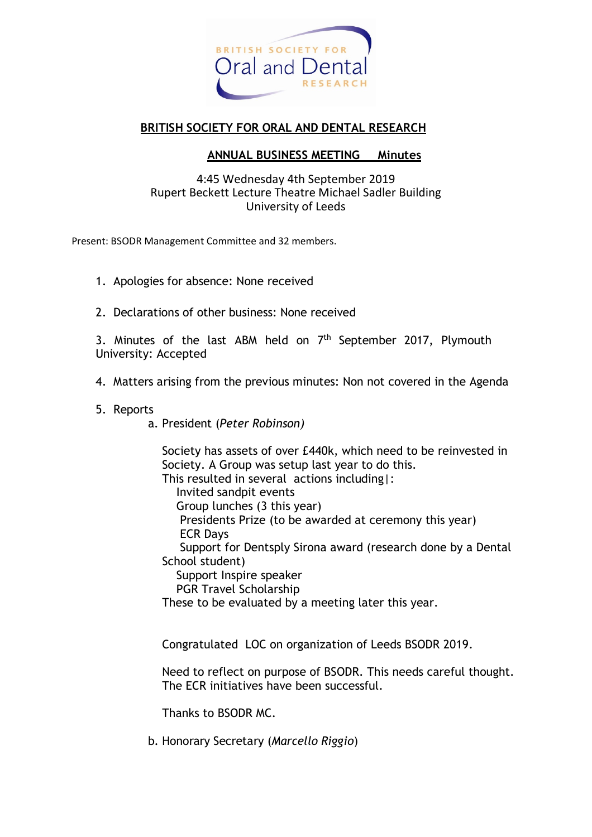

## **BRITISH SOCIETY FOR ORAL AND DENTAL RESEARCH**

## **ANNUAL BUSINESS MEETING Minutes**

## 4:45 Wednesday 4th September 2019 Rupert Beckett Lecture Theatre Michael Sadler Building University of Leeds

Present: BSODR Management Committee and 32 members.

- 1. Apologies for absence: None received
- 2. Declarations of other business: None received

3. Minutes of the last ABM held on  $7<sup>th</sup>$  September 2017, Plymouth University: Accepted

- 4. Matters arising from the previous minutes: Non not covered in the Agenda
- 5. Reports
	- a. President (*Peter Robinson)*

Society has assets of over £440k, which need to be reinvested in Society. A Group was setup last year to do this. This resulted in several actions including|: Invited sandpit events Group lunches (3 this year) Presidents Prize (to be awarded at ceremony this year) ECR Days Support for Dentsply Sirona award (research done by a Dental School student) Support Inspire speaker PGR Travel Scholarship These to be evaluated by a meeting later this year.

Congratulated LOC on organization of Leeds BSODR 2019.

Need to reflect on purpose of BSODR. This needs careful thought. The ECR initiatives have been successful.

Thanks to BSODR MC.

b. Honorary Secretary (*Marcello Riggio*)